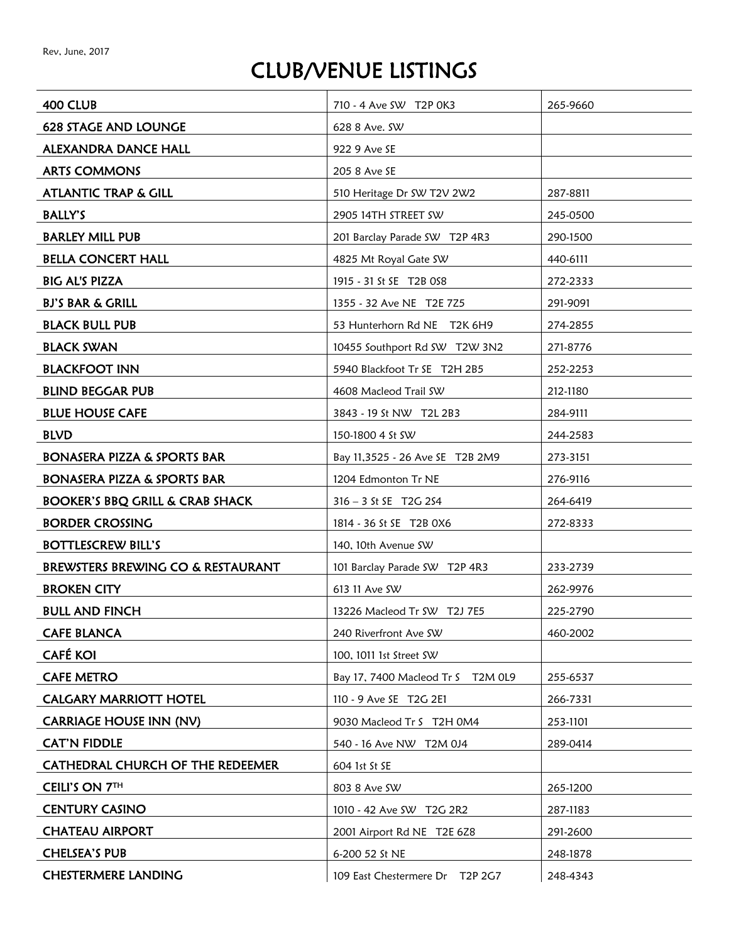## CLUB/VENUE LISTINGS

| <b>400 CLUB</b>                            | 710 - 4 Ave SW T2P 0K3               | 265-9660 |
|--------------------------------------------|--------------------------------------|----------|
| <b>628 STAGE AND LOUNGE</b>                | 628 8 Ave. SW                        |          |
| <b>ALEXANDRA DANCE HALL</b>                | 922 9 Ave SE                         |          |
| <b>ARTS COMMONS</b>                        | 205 8 Ave SE                         |          |
| <b>ATLANTIC TRAP &amp; GILL</b>            | 510 Heritage Dr SW T2V 2W2           | 287-8811 |
| <b>BALLY'S</b>                             | 2905 14TH STREET SW                  | 245-0500 |
| <b>BARLEY MILL PUB</b>                     | 201 Barclay Parade SW T2P 4R3        | 290-1500 |
| <b>BELLA CONCERT HALL</b>                  | 4825 Mt Royal Gate SW                | 440-6111 |
| <b>BIG AL'S PIZZA</b>                      | 1915 - 31 St SE T2B OS8              | 272-2333 |
| <b>BJ'S BAR &amp; GRILL</b>                | 1355 - 32 Ave NE T2E 725             | 291-9091 |
| <b>BLACK BULL PUB</b>                      | 53 Hunterhorn Rd NE T2K 6H9          | 274-2855 |
| <b>BLACK SWAN</b>                          | 10455 Southport Rd SW T2W 3N2        | 271-8776 |
| <b>BLACKFOOT INN</b>                       | 5940 Blackfoot Tr SE T2H 2B5         | 252-2253 |
| <b>BLIND BEGGAR PUB</b>                    | 4608 Macleod Trail SW                | 212-1180 |
| <b>BLUE HOUSE CAFE</b>                     | 3843 - 19 St NW T2L 2B3              | 284-9111 |
| <b>BLVD</b>                                | 150-1800 4 St SW                     | 244-2583 |
| <b>BONASERA PIZZA &amp; SPORTS BAR</b>     | Bay 11,3525 - 26 Ave SE T2B 2M9      | 273-3151 |
| <b>BONASERA PIZZA &amp; SPORTS BAR</b>     | 1204 Edmonton Tr NE                  | 276-9116 |
| <b>BOOKER'S BBQ GRILL &amp; CRAB SHACK</b> | 316 - 3 St SE T2G 2S4                | 264-6419 |
| <b>BORDER CROSSING</b>                     | 1814 - 36 St SE T2B 0X6              | 272-8333 |
| <b>BOTTLESCREW BILL'S</b>                  | 140, 10th Avenue SW                  |          |
| BREWSTERS BREWING CO & RESTAURANT          | 101 Barclay Parade SW T2P 4R3        | 233-2739 |
| <b>BROKEN CITY</b>                         | 613 11 Ave SW                        | 262-9976 |
| <b>BULL AND FINCH</b>                      | 13226 Macleod Tr SW T2J 7E5          | 225-2790 |
| <b>CAFE BLANCA</b>                         | 240 Riverfront Ave SW                | 460-2002 |
| <b>CAFÉ KOI</b>                            | 100, 1011 1st Street SW              |          |
| <b>CAFE METRO</b>                          | T2M 0L9<br>Bay 17, 7400 Macleod Tr S | 255-6537 |
| <b>CALGARY MARRIOTT HOTEL</b>              | 110 - 9 Ave SE T2G 2E1               | 266-7331 |
| <b>CARRIAGE HOUSE INN (NV)</b>             | 9030 Macleod Tr S T2H 0M4            | 253-1101 |
| <b>CAT'N FIDDLE</b>                        | 540 - 16 Ave NW T2M 0J4              | 289-0414 |
| CATHEDRAL CHURCH OF THE REDEEMER           | 604 1st St SE                        |          |
| CEILI'S ON 7TH                             | 803 8 Ave SW                         | 265-1200 |
| <b>CENTURY CASINO</b>                      | 1010 - 42 Ave SW T2G 2R2             | 287-1183 |
| <b>CHATEAU AIRPORT</b>                     | 2001 Airport Rd NE T2E 6Z8           | 291-2600 |
| <b>CHELSEA'S PUB</b>                       | 6-200 52 St NE                       | 248-1878 |
| <b>CHESTERMERE LANDING</b>                 | 109 East Chestermere Dr T2P 2G7      | 248-4343 |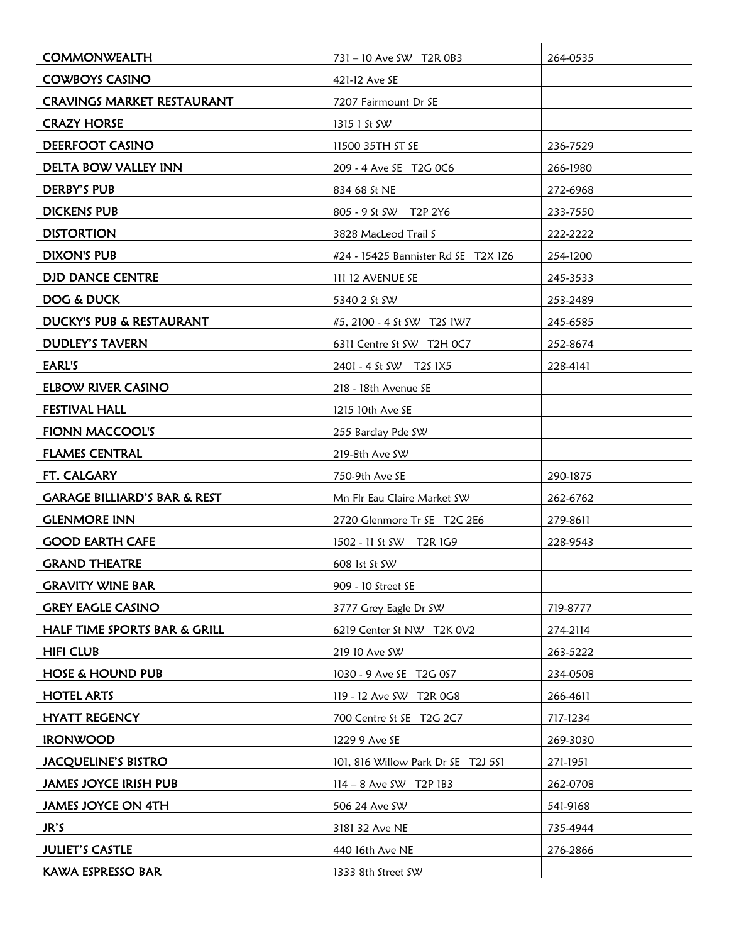| <b>COMMONWEALTH</b>                     | 731 - 10 Ave SW T2R 0B3             | 264-0535 |
|-----------------------------------------|-------------------------------------|----------|
| <b>COWBOYS CASINO</b>                   | 421-12 Ave SE                       |          |
| <b>CRAVINGS MARKET RESTAURANT</b>       | 7207 Fairmount Dr SE                |          |
| <b>CRAZY HORSE</b>                      | 1315 1 St SW                        |          |
| <b>DEERFOOT CASINO</b>                  | 11500 35TH ST SE                    | 236-7529 |
| DELTA BOW VALLEY INN                    | 209 - 4 Ave SE T2G 0C6              | 266-1980 |
| <b>DERBY'S PUB</b>                      | 834 68 St NE                        | 272-6968 |
| <b>DICKENS PUB</b>                      | 805 - 9 St SW T2P 2Y6               | 233-7550 |
| <b>DISTORTION</b>                       | 3828 MacLeod Trail S                | 222-2222 |
| <b>DIXON'S PUB</b>                      | #24 - 15425 Bannister Rd SE T2X 126 | 254-1200 |
| <b>DJD DANCE CENTRE</b>                 | <b>111 12 AVENUE SE</b>             | 245-3533 |
| <b>DOG &amp; DUCK</b>                   | 5340 2 St SW                        | 253-2489 |
| DUCKY'S PUB & RESTAURANT                | #5, 2100 - 4 St SW T2S 1W7          | 245-6585 |
| <b>DUDLEY'S TAVERN</b>                  | 6311 Centre St SW T2H OC7           | 252-8674 |
| <b>EARL'S</b>                           | 2401 - 4 St SW T2S 1X5              | 228-4141 |
| <b>ELBOW RIVER CASINO</b>               | 218 - 18th Avenue SE                |          |
| <b>FESTIVAL HALL</b>                    | 1215 10th Ave SE                    |          |
| <b>FIONN MACCOOL'S</b>                  | 255 Barclay Pde SW                  |          |
| <b>FLAMES CENTRAL</b>                   | 219-8th Ave SW                      |          |
| FT. CALGARY                             | 750-9th Ave SE                      | 290-1875 |
| <b>GARAGE BILLIARD'S BAR &amp; REST</b> | Mn Flr Eau Claire Market SW         | 262-6762 |
| <b>GLENMORE INN</b>                     | 2720 Glenmore Tr SE T2C 2E6         | 279-8611 |
| <b>GOOD EARTH CAFE</b>                  | 1502 - 11 St SW T2R 1G9             | 228-9543 |
| <b>GRAND THEATRE</b>                    | 608 1st St SW                       |          |
| <b>GRAVITY WINE BAR</b>                 | 909 - 10 Street SE                  |          |
| <b>GREY EAGLE CASINO</b>                | 3777 Grey Eagle Dr SW               | 719-8777 |
| HALF TIME SPORTS BAR & GRILL            | 6219 Center St NW T2K 0V2           | 274-2114 |
| <b>HIFI CLUB</b>                        | 219 10 Ave SW                       | 263-5222 |
| <b>HOSE &amp; HOUND PUB</b>             | 1030 - 9 Ave SE T2G 0S7             | 234-0508 |
| <b>HOTEL ARTS</b>                       | 119 - 12 Ave SW T2R OG8             | 266-4611 |
| <b>HYATT REGENCY</b>                    | 700 Centre St SE T2G 2C7            | 717-1234 |
| <b>IRONWOOD</b>                         | 1229 9 Ave SE                       | 269-3030 |
| <b>JACQUELINE'S BISTRO</b>              | 101, 816 Willow Park Dr SE T2J 5S1  | 271-1951 |
| <b>JAMES JOYCE IRISH PUB</b>            | $114 - 8$ Ave SW T2P 1B3            | 262-0708 |
| JAMES JOYCE ON 4TH                      | 506 24 Ave SW                       | 541-9168 |
| JR'S                                    | 3181 32 Ave NE                      | 735-4944 |
| <b>JULIET'S CASTLE</b>                  | 440 16th Ave NE                     | 276-2866 |
| KAWA ESPRESSO BAR                       | 1333 8th Street SW                  |          |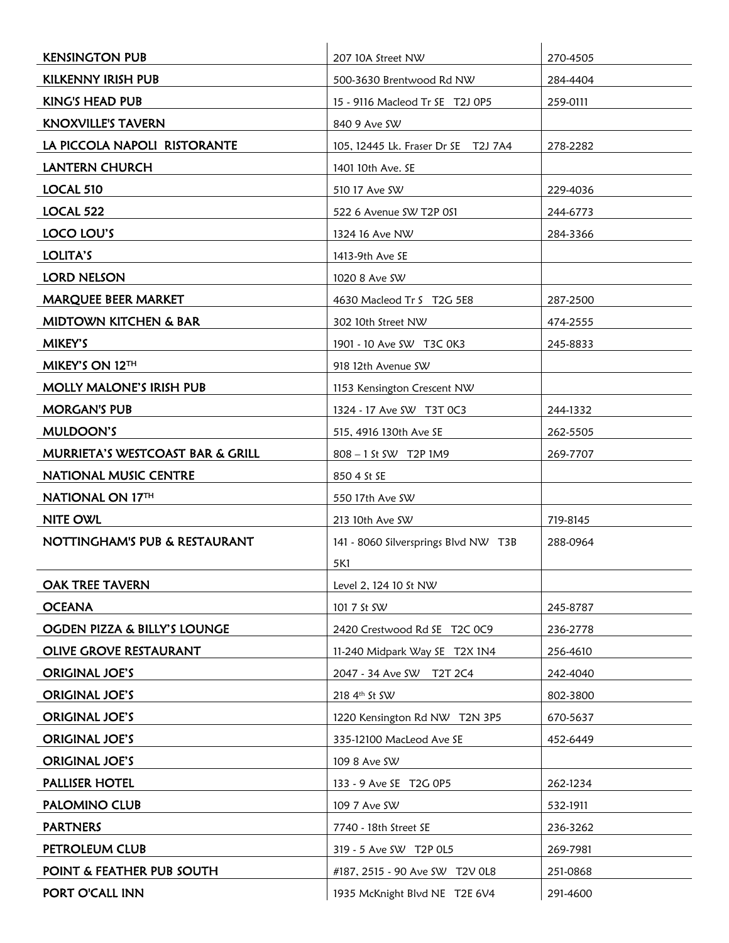| <b>KENSINGTON PUB</b>                        | 207 10A Street NW                    | 270-4505 |
|----------------------------------------------|--------------------------------------|----------|
| <b>KILKENNY IRISH PUB</b>                    |                                      |          |
|                                              | 500-3630 Brentwood Rd NW             | 284-4404 |
| KING'S HEAD PUB<br><b>KNOXVILLE'S TAVERN</b> | 15 - 9116 Macleod Tr SE T2J 0P5      | 259-0111 |
| LA PICCOLA NAPOLI RISTORANTE                 | 840 9 Ave SW                         | 278-2282 |
| <b>LANTERN CHURCH</b>                        | 105, 12445 Lk. Fraser Dr SE T2J 7A4  |          |
|                                              | 1401 10th Ave. SE                    |          |
| LOCAL 510                                    | 510 17 Ave SW                        | 229-4036 |
| LOCAL 522                                    | 522 6 Avenue SW T2P 0S1              | 244-6773 |
| LOCO LOU'S                                   | 1324 16 Ave NW                       | 284-3366 |
| LOLITA'S                                     | 1413-9th Ave SE                      |          |
| LORD NELSON                                  | 1020 8 Ave SW                        |          |
| MARQUEE BEER MARKET                          | 4630 Macleod Tr S T2G 5E8            | 287-2500 |
| MIDTOWN KITCHEN & BAR                        | 302 10th Street NW                   | 474-2555 |
| MIKEY'S                                      | 1901 - 10 Ave SW T3C 0K3             | 245-8833 |
| MIKEY'S ON 12TH                              | 918 12th Avenue SW                   |          |
| <b>MOLLY MALONE'S IRISH PUB</b>              | 1153 Kensington Crescent NW          |          |
| <b>MORGAN'S PUB</b>                          | 1324 - 17 Ave SW T3T OC3             | 244-1332 |
| MULDOON'S                                    | 515, 4916 130th Ave SE               | 262-5505 |
| MURRIETA'S WESTCOAST BAR & GRILL             | 808 - 1 St SW T2P 1M9                | 269-7707 |
| <b>NATIONAL MUSIC CENTRE</b>                 | 850 4 St SE                          |          |
| NATIONAL ON 17TH                             | 550 17th Ave SW                      |          |
| <b>NITE OWL</b>                              | 213 10th Ave SW                      | 719-8145 |
| NOTTINGHAM'S PUB & RESTAURANT                | 141 - 8060 Silversprings Blvd NW T3B | 288-0964 |
|                                              | 5K1                                  |          |
| <b>OAK TREE TAVERN</b>                       | Level 2, 124 10 St NW                |          |
| <b>OCEANA</b>                                | 101 7 St SW                          | 245-8787 |
| OGDEN PIZZA & BILLY'S LOUNGE                 | 2420 Crestwood Rd SE T2C 0C9         | 236-2778 |
| OLIVE GROVE RESTAURANT                       | 11-240 Midpark Way SE T2X 1N4        | 256-4610 |
| <b>ORIGINAL JOE'S</b>                        | 2047 - 34 Ave SW T2T 2C4             | 242-4040 |
| <b>ORIGINAL JOE'S</b>                        | 218 4th St SW                        | 802-3800 |
| <b>ORIGINAL JOE'S</b>                        | 1220 Kensington Rd NW T2N 3P5        | 670-5637 |
| <b>ORIGINAL JOE'S</b>                        | 335-12100 MacLeod Ave SE             | 452-6449 |
| <b>ORIGINAL JOE'S</b>                        | 109 8 Ave SW                         |          |
| <b>PALLISER HOTEL</b>                        | 133 - 9 Ave SE T2G OP5               | 262-1234 |
| PALOMINO CLUB                                | 109 7 Ave SW                         | 532-1911 |
| <b>PARTNERS</b>                              | 7740 - 18th Street SE                | 236-3262 |
| PETROLEUM CLUB                               | 319 - 5 Ave SW T2P 0L5               | 269-7981 |
| POINT & FEATHER PUB SOUTH                    | #187, 2515 - 90 Ave SW T2V 0L8       | 251-0868 |
| PORT O'CALL INN                              | 1935 McKnight Blvd NE T2E 6V4        | 291-4600 |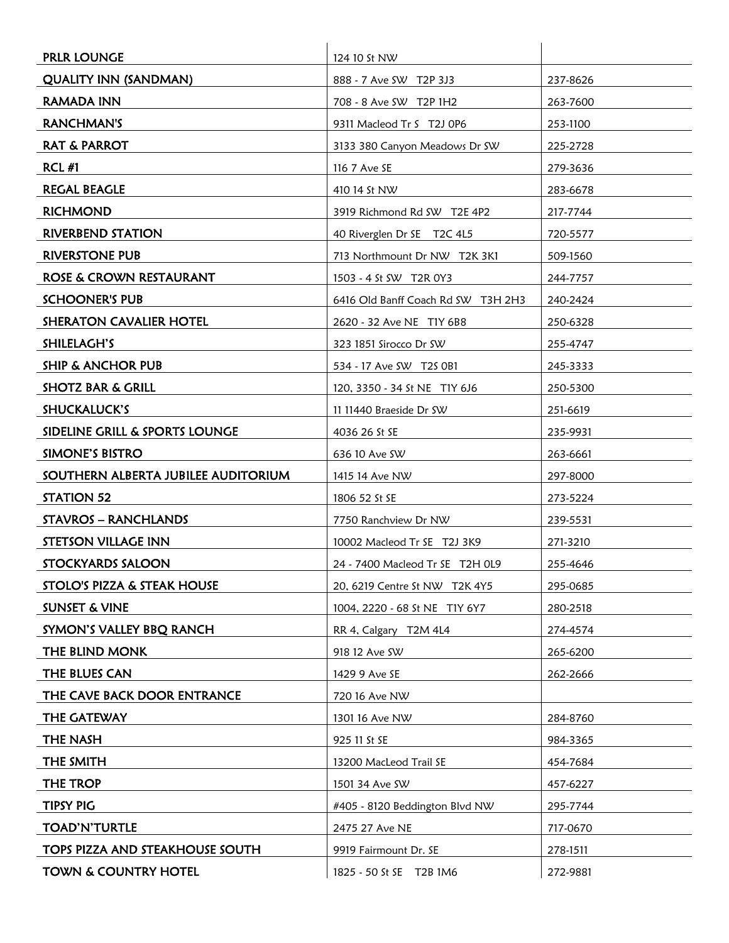| <b>PRLR LOUNGE</b>                  | 124 10 St NW                       |          |
|-------------------------------------|------------------------------------|----------|
| <b>QUALITY INN (SANDMAN)</b>        | 888 - 7 Ave SW T2P 3J3             | 237-8626 |
| RAMADA INN                          | 708 - 8 Ave SW T2P 1H2             | 263-7600 |
| RANCHMAN'S                          | 9311 Macleod Tr S T2J 0P6          | 253-1100 |
| <b>RAT &amp; PARROT</b>             | 3133 380 Canyon Meadows Dr SW      | 225-2728 |
| <b>RCL #1</b>                       | 116 7 Ave SE                       | 279-3636 |
| <b>REGAL BEAGLE</b>                 | 410 14 St NW                       | 283-6678 |
| <b>RICHMOND</b>                     | 3919 Richmond Rd SW T2E 4P2        | 217-7744 |
| <b>RIVERBEND STATION</b>            | 40 Riverglen Dr SE T2C 4L5         | 720-5577 |
| <b>RIVERSTONE PUB</b>               | 713 Northmount Dr NW T2K 3K1       | 509-1560 |
| ROSE & CROWN RESTAURANT             | 1503 - 4 St SW T2R 0Y3             | 244-7757 |
| <b>SCHOONER'S PUB</b>               | 6416 Old Banff Coach Rd SW T3H 2H3 | 240-2424 |
| SHERATON CAVALIER HOTEL             | 2620 - 32 Ave NE T1Y 6B8           | 250-6328 |
| SHILELAGH'S                         | 323 1851 Sirocco Dr SW             | 255-4747 |
| <b>SHIP &amp; ANCHOR PUB</b>        | 534 - 17 Ave SW T2S 0B1            | 245-3333 |
| <b>SHOTZ BAR &amp; GRILL</b>        | 120, 3350 - 34 St NE T1Y 6J6       | 250-5300 |
| SHUCKALUCK'S                        | 11 11440 Braeside Dr SW            | 251-6619 |
| SIDELINE GRILL & SPORTS LOUNGE      | 4036 26 St SE                      | 235-9931 |
| SIMONE'S BISTRO                     | 636 10 Ave SW                      | 263-6661 |
| SOUTHERN ALBERTA JUBILEE AUDITORIUM | 1415 14 Ave NW                     | 297-8000 |
| STATION 52                          | 1806 52 St SE                      | 273-5224 |
| <b>STAVROS - RANCHLANDS</b>         | 7750 Ranchview Dr NW               | 239-5531 |
| <b>STETSON VILLAGE INN</b>          | 10002 Macleod Tr SE T2J 3K9        | 271-3210 |
| <b>STOCKYARDS SALOON</b>            | 24 - 7400 Macleod Tr SE T2H 0L9    | 255-4646 |
| STOLO'S PIZZA & STEAK HOUSE         | 20, 6219 Centre St NW T2K 4Y5      | 295-0685 |
| <b>SUNSET &amp; VINE</b>            | 1004, 2220 - 68 St NE T1Y 6Y7      | 280-2518 |
| SYMON'S VALLEY BBQ RANCH            | RR 4, Calgary T2M 4L4              | 274-4574 |
| THE BLIND MONK                      | 918 12 Ave SW                      | 265-6200 |
| THE BLUES CAN                       | 1429 9 Ave SE                      | 262-2666 |
| THE CAVE BACK DOOR ENTRANCE         | 720 16 Ave NW                      |          |
| THE GATEWAY                         | 1301 16 Ave NW                     | 284-8760 |
| THE NASH                            | 925 11 St SE                       | 984-3365 |
| THE SMITH                           | 13200 MacLeod Trail SE             | 454-7684 |
| THE TROP                            | 1501 34 Ave SW                     | 457-6227 |
| <b>TIPSY PIG</b>                    | #405 - 8120 Beddington Blvd NW     | 295-7744 |
| TOAD'N'TURTLE                       | 2475 27 Ave NE                     | 717-0670 |
| TOPS PIZZA AND STEAKHOUSE SOUTH     | 9919 Fairmount Dr. SE              | 278-1511 |
| <b>TOWN &amp; COUNTRY HOTEL</b>     | 1825 - 50 St SE T2B 1M6            | 272-9881 |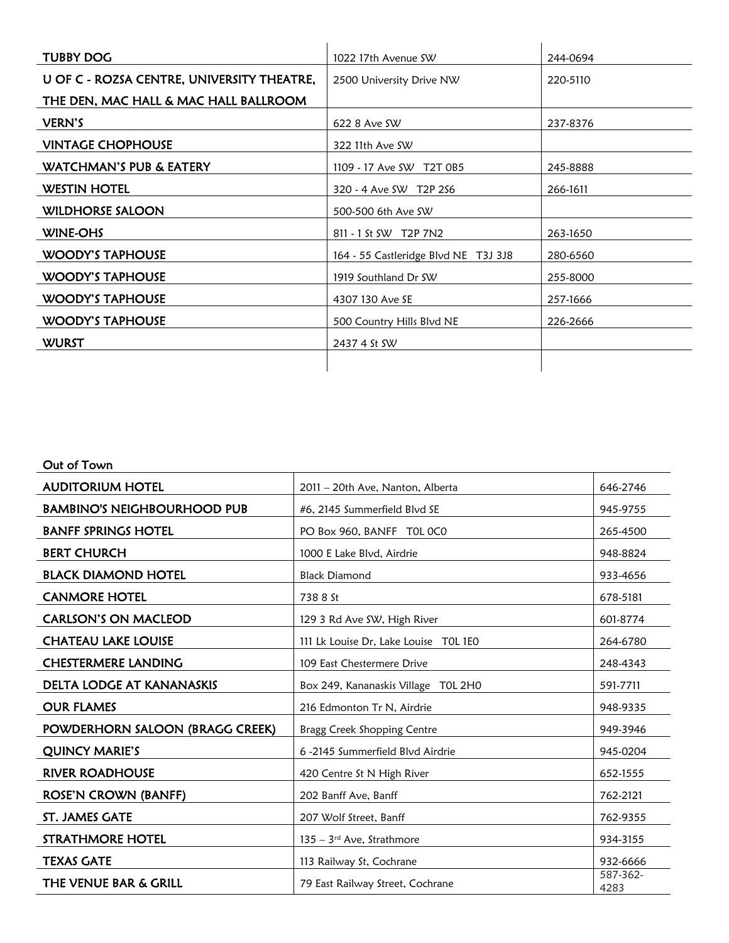| <b>TUBBY DOG</b>                           | 1022 17th Avenue SW                  | 244-0694 |
|--------------------------------------------|--------------------------------------|----------|
| U OF C - ROZSA CENTRE, UNIVERSITY THEATRE, | 2500 University Drive NW             | 220-5110 |
| THE DEN, MAC HALL & MAC HALL BALLROOM      |                                      |          |
| <b>VERN'S</b>                              | 622 8 Ave SW                         | 237-8376 |
| <b>VINTAGE CHOPHOUSE</b>                   | 322 11th Ave SW                      |          |
| WATCHMAN'S PUB & EATERY                    | 1109 - 17 Ave SW T2T 0B5             | 245-8888 |
| WESTIN HOTEL                               | 320 - 4 Ave SW T2P 2S6               | 266-1611 |
| WILDHORSE SALOON                           | 500-500 6th Ave SW                   |          |
| WINE-OHS                                   | 811 - 1 St SW T2P 7N2                | 263-1650 |
| <b>WOODY'S TAPHOUSE</b>                    | 164 - 55 Castleridge Blvd NE T3J 3J8 | 280-6560 |
| <b>WOODY'S TAPHOUSE</b>                    | 1919 Southland Dr SW                 | 255-8000 |
| WOODY'S TAPHOUSE                           | 4307 130 Ave SE                      | 257-1666 |
| <b>WOODY'S TAPHOUSE</b>                    | 500 Country Hills Blvd NE            | 226-2666 |
| <b>WURST</b>                               | 2437 4 St SW                         |          |
|                                            |                                      |          |

## Out of Town

| <b>AUDITORIUM HOTEL</b>            | 2011 - 20th Ave, Nanton, Alberta        | 646-2746         |
|------------------------------------|-----------------------------------------|------------------|
| <b>BAMBINO'S NEIGHBOURHOOD PUB</b> | #6, 2145 Summerfield Blvd SE            | 945-9755         |
| <b>BANFF SPRINGS HOTEL</b>         | PO Box 960, BANFF TOL OCO               | 265-4500         |
| <b>BERT CHURCH</b>                 | 1000 E Lake Blvd, Airdrie               | 948-8824         |
| <b>BLACK DIAMOND HOTEL</b>         | <b>Black Diamond</b>                    | 933-4656         |
| <b>CANMORE HOTEL</b>               | 738 8 St                                | 678-5181         |
| <b>CARLSON'S ON MACLEOD</b>        | 129 3 Rd Ave SW, High River             | 601-8774         |
| <b>CHATEAU LAKE LOUISE</b>         | 111 Lk Louise Dr, Lake Louise TOL 1EO   | 264-6780         |
| <b>CHESTERMERE LANDING</b>         | 109 East Chestermere Drive              | 248-4343         |
| DELTA LODGE AT KANANASKIS          | Box 249, Kananaskis Village TOL 2H0     | 591-7711         |
| <b>OUR FLAMES</b>                  | 216 Edmonton Tr N, Airdrie              | 948-9335         |
| POWDERHORN SALOON (BRAGG CREEK)    | <b>Bragg Creek Shopping Centre</b>      | 949-3946         |
| <b>QUINCY MARIE'S</b>              | 6 -2145 Summerfield Blvd Airdrie        | 945-0204         |
| <b>RIVER ROADHOUSE</b>             | 420 Centre St N High River              | 652-1555         |
| <b>ROSE'N CROWN (BANFF)</b>        | 202 Banff Ave, Banff                    | 762-2121         |
| <b>ST. JAMES GATE</b>              | 207 Wolf Street, Banff                  | 762-9355         |
| <b>STRATHMORE HOTEL</b>            | $135 - 3$ <sup>rd</sup> Ave, Strathmore | 934-3155         |
| <b>TEXAS GATE</b>                  | 113 Railway St, Cochrane                | 932-6666         |
| THE VENUE BAR & GRILL              | 79 East Railway Street, Cochrane        | 587-362-<br>4283 |